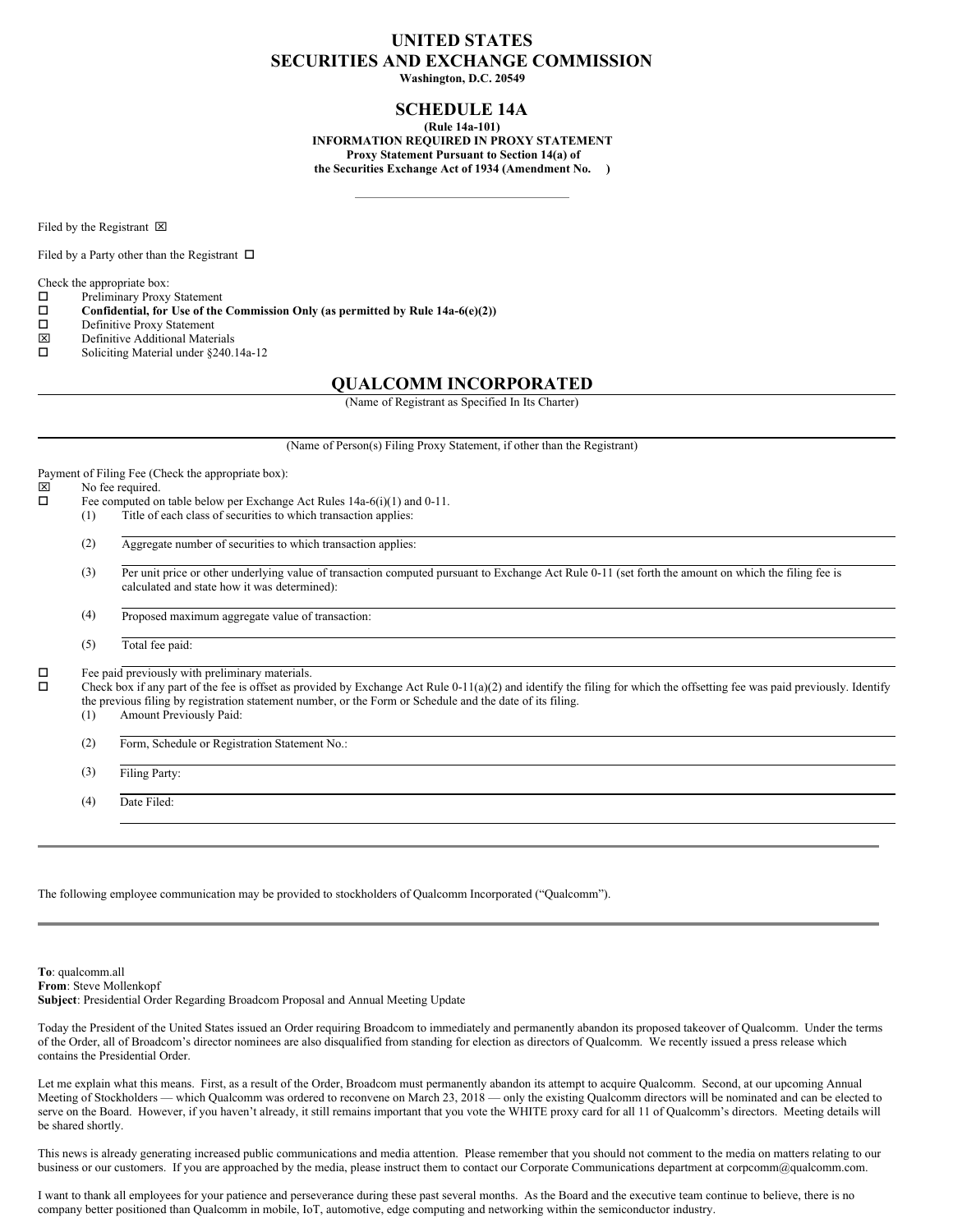# **UNITED STATES SECURITIES AND EXCHANGE COMMISSION**

**Washington, D.C. 20549**

## **SCHEDULE 14A**

**(Rule 14a-101) INFORMATION REQUIRED IN PROXY STATEMENT Proxy Statement Pursuant to Section 14(a) of the Securities Exchange Act of 1934 (Amendment No. )**

Filed by the Registrant  $\boxtimes$ 

Filed by a Party other than the Registrant  $\Box$ 

Check the appropriate box:<br> $\Box$  Preliminary Proxy

Preliminary Proxy Statement

- o **Confidential, for Use of the Commission Only (as permitted by Rule 14a-6(e)(2))**
- Definitive Proxy Statement
- $\boxtimes$  Definitive Additional Materials<br> $\square$  Soliciting Material under §240.
- Soliciting Material under §240.14a-12

### **QUALCOMM INCORPORATED**

(Name of Registrant as Specified In Its Charter)

(Name of Person(s) Filing Proxy Statement, if other than the Registrant)

Payment of Filing Fee (Check the appropriate box):<br> $|\overline{x}|$  No fee required

 $\boxtimes$  No fee required.<br> $\square$  Fee computed or

- Fee computed on table below per Exchange Act Rules  $14a-6(i)(1)$  and  $0-11$ .
	- (1) Title of each class of securities to which transaction applies:
	- (2) Aggregate number of securities to which transaction applies:
	- (3) Per unit price or other underlying value of transaction computed pursuant to Exchange Act Rule 0-11 (set forth the amount on which the filing fee is calculated and state how it was determined):
	- (4) Proposed maximum aggregate value of transaction:
	- (5) Total fee paid:

 $\square$  Fee paid previously with preliminary materials.<br> $\square$  Check hox if any part of the fee is offset as prov

Check box if any part of the fee is offset as provided by Exchange Act Rule 0-11(a)(2) and identify the filing for which the offsetting fee was paid previously. Identify the previous filing by registration statement number, or the Form or Schedule and the date of its filing.

(1) Amount Previously Paid:

(2) Form, Schedule or Registration Statement No.:

(3) Filing Party:

(4) Date Filed:

The following employee communication may be provided to stockholders of Qualcomm Incorporated ("Qualcomm").

**To**: qualcomm.all **From**: Steve Mollenkopf **Subject**: Presidential Order Regarding Broadcom Proposal and Annual Meeting Update

Today the President of the United States issued an Order requiring Broadcom to immediately and permanently abandon its proposed takeover of Qualcomm. Under the terms of the Order, all of Broadcom's director nominees are also disqualified from standing for election as directors of Qualcomm. We recently issued a press release which contains the Presidential Order.

Let me explain what this means. First, as a result of the Order, Broadcom must permanently abandon its attempt to acquire Qualcomm. Second, at our upcoming Annual Meeting of Stockholders — which Qualcomm was ordered to reconvene on March 23, 2018 — only the existing Qualcomm directors will be nominated and can be elected to serve on the Board. However, if you haven't already, it still remains important that you vote the WHITE proxy card for all 11 of Qualcomm's directors. Meeting details will be shared shortly.

This news is already generating increased public communications and media attention. Please remember that you should not comment to the media on matters relating to our business or our customers. If you are approached by the media, please instruct them to contact our Corporate Communications department at corpcomm@qualcomm.com.

I want to thank all employees for your patience and perseverance during these past several months. As the Board and the executive team continue to believe, there is no company better positioned than Qualcomm in mobile, IoT, automotive, edge computing and networking within the semiconductor industry.